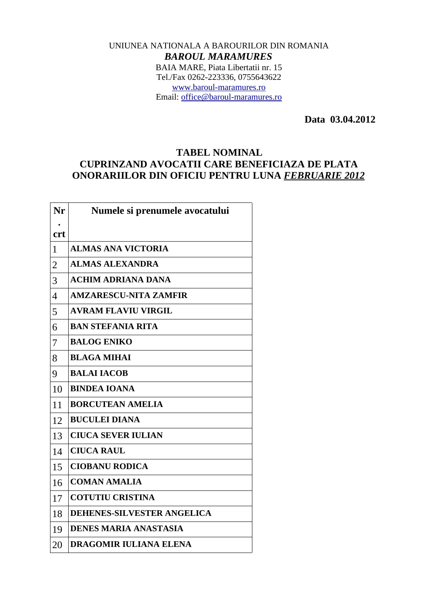## UNIUNEA NATIONALA A BAROURILOR DIN ROMANIA *BAROUL MARAMURES* BAIA MARE, Piata Libertatii nr. 15 Tel./Fax 0262-223336, 0755643622 [www.baroul-maramures.ro](http://www.baroul-maramures.ro/) Email: [office@baroul-maramures.ro](mailto:office@baroul-maramures.ro)

 **Data 03.04.2012**

## **TABEL NOMINAL CUPRINZAND AVOCATII CARE BENEFICIAZA DE PLATA ONORARIILOR DIN OFICIU PENTRU LUNA** *FEBRUARIE 2012*

| Nr                       | Numele si prenumele avocatului    |
|--------------------------|-----------------------------------|
| <b>crt</b>               |                                   |
| $\mathbf{1}$             | <b>ALMAS ANA VICTORIA</b>         |
| $\overline{2}$           | <b>ALMAS ALEXANDRA</b>            |
| 3                        | <b>ACHIM ADRIANA DANA</b>         |
| $\overline{\mathcal{A}}$ | <b>AMZARESCU-NITA ZAMFIR</b>      |
| 5                        | <b>AVRAM FLAVIU VIRGIL</b>        |
| 6                        | <b>BAN STEFANIA RITA</b>          |
| 7                        | <b>BALOG ENIKO</b>                |
| 8                        | <b>BLAGA MIHAI</b>                |
| 9                        | <b>BALAI IACOB</b>                |
| 10                       | <b>BINDEA IOANA</b>               |
| 11                       | <b>BORCUTEAN AMELIA</b>           |
| 12                       | <b>BUCULEI DIANA</b>              |
| 13                       | <b>CIUCA SEVER IULIAN</b>         |
| 14                       | <b>CIUCA RAUL</b>                 |
| 15                       | <b>CIOBANU RODICA</b>             |
| 16                       | <b>COMAN AMALIA</b>               |
| 17                       | <b>COTUTIU CRISTINA</b>           |
| 18                       | <b>DEHENES-SILVESTER ANGELICA</b> |
| 19                       | <b>DENES MARIA ANASTASIA</b>      |
| 20                       | <b>DRAGOMIR IULIANA ELENA</b>     |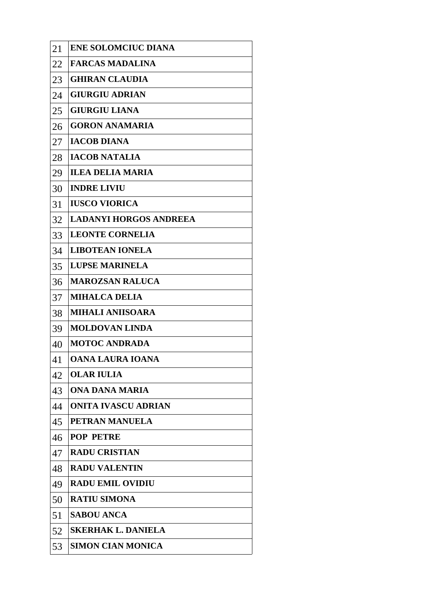| 21 | <b>ENE SOLOMCIUC DIANA</b>    |
|----|-------------------------------|
| 22 | <b>FARCAS MADALINA</b>        |
| 23 | <b>GHIRAN CLAUDIA</b>         |
| 24 | <b>GIURGIU ADRIAN</b>         |
| 25 | <b>GIURGIU LIANA</b>          |
| 26 | <b>GORON ANAMARIA</b>         |
| 27 | <b>IACOB DIANA</b>            |
| 28 | <b>IACOB NATALIA</b>          |
| 29 | <b>ILEA DELIA MARIA</b>       |
| 30 | <b>INDRE LIVIU</b>            |
| 31 | <b>IUSCO VIORICA</b>          |
| 32 | <b>LADANYI HORGOS ANDREEA</b> |
| 33 | <b>LEONTE CORNELIA</b>        |
| 34 | <b>LIBOTEAN IONELA</b>        |
| 35 | <b>LUPSE MARINELA</b>         |
| 36 | <b>MAROZSAN RALUCA</b>        |
| 37 | <b>MIHALCA DELIA</b>          |
| 38 | <b>MIHALI ANIISOARA</b>       |
| 39 | <b>MOLDOVAN LINDA</b>         |
| 40 | <b>MOTOC ANDRADA</b>          |
| 41 | OANA LAURA IOANA              |
| 42 | <b>OLAR IULIA</b>             |
| 43 | ONA DANA MARIA                |
| 44 | ONITA IVASCU ADRIAN           |
| 45 | PETRAN MANUELA                |
| 46 | <b>POP PETRE</b>              |
| 47 | <b>RADU CRISTIAN</b>          |
| 48 | <b>RADU VALENTIN</b>          |
| 49 | <b>RADU EMIL OVIDIU</b>       |
| 50 | <b>RATIU SIMONA</b>           |
| 51 | <b>SABOU ANCA</b>             |
| 52 | <b>SKERHAK L. DANIELA</b>     |
| 53 | <b>SIMON CIAN MONICA</b>      |